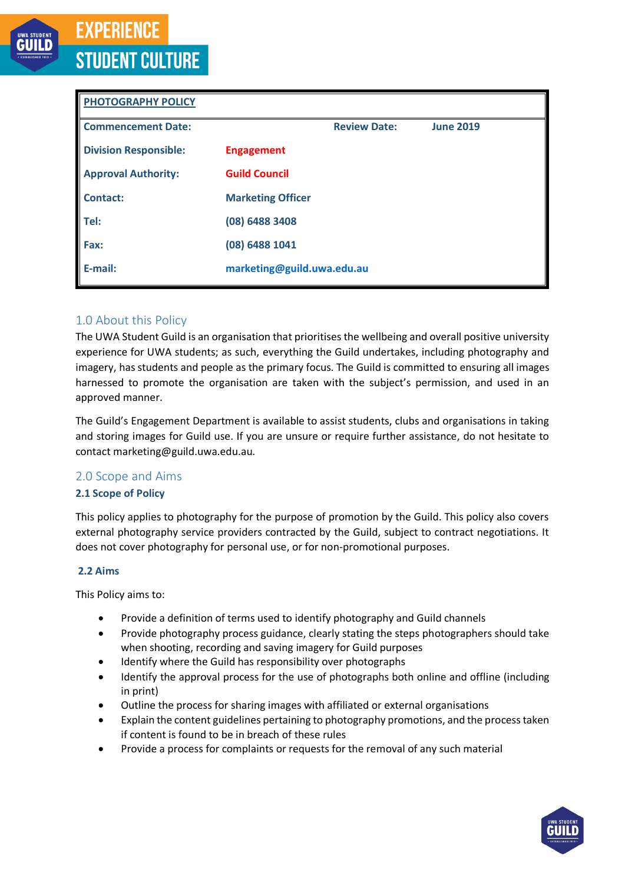# **EXPERIENCE STUDENT CULTURE**

| <b>PHOTOGRAPHY POLICY</b>    |                            |                     |                  |
|------------------------------|----------------------------|---------------------|------------------|
| <b>Commencement Date:</b>    |                            | <b>Review Date:</b> | <b>June 2019</b> |
| <b>Division Responsible:</b> | <b>Engagement</b>          |                     |                  |
| <b>Approval Authority:</b>   | <b>Guild Council</b>       |                     |                  |
| <b>Contact:</b>              | <b>Marketing Officer</b>   |                     |                  |
| Tel:                         | (08) 6488 3408             |                     |                  |
| Fax:                         | (08) 6488 1041             |                     |                  |
| E-mail:                      | marketing@guild.uwa.edu.au |                     |                  |

# 1.0 About this Policy

The UWA Student Guild is an organisation that prioritises the wellbeing and overall positive university experience for UWA students; as such, everything the Guild undertakes, including photography and imagery, hasstudents and people as the primary focus. The Guild is committed to ensuring all images harnessed to promote the organisation are taken with the subject's permission, and used in an approved manner.

The Guild's Engagement Department is available to assist students, clubs and organisations in taking and storing images for Guild use. If you are unsure or require further assistance, do not hesitate to contact marketing@guild.uwa.edu.au.

# 2.0 Scope and Aims

## **2.1 Scope of Policy**

This policy applies to photography for the purpose of promotion by the Guild. This policy also covers external photography service providers contracted by the Guild, subject to contract negotiations. It does not cover photography for personal use, or for non-promotional purposes.

## **2.2 Aims**

This Policy aims to:

- Provide a definition of terms used to identify photography and Guild channels
- Provide photography process guidance, clearly stating the steps photographers should take when shooting, recording and saving imagery for Guild purposes
- Identify where the Guild has responsibility over photographs
- Identify the approval process for the use of photographs both online and offline (including in print)
- Outline the process for sharing images with affiliated or external organisations
- Explain the content guidelines pertaining to photography promotions, and the process taken if content is found to be in breach of these rules
- Provide a process for complaints or requests for the removal of any such material

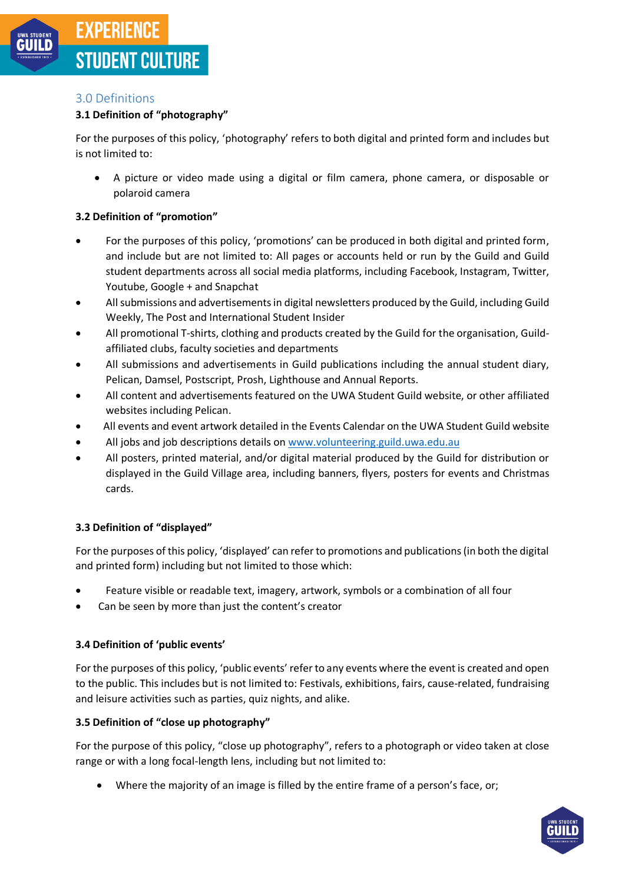# 3.0 Definitions

# **3.1 Definition of "photography"**

For the purposes of this policy, 'photography' refers to both digital and printed form and includes but is not limited to:

• A picture or video made using a digital or film camera, phone camera, or disposable or polaroid camera

# **3.2 Definition of "promotion"**

- For the purposes of this policy, 'promotions' can be produced in both digital and printed form, and include but are not limited to: All pages or accounts held or run by the Guild and Guild student departments across all social media platforms, including Facebook, Instagram, Twitter, Youtube, Google + and Snapchat
- Allsubmissions and advertisements in digital newsletters produced by the Guild, including Guild Weekly, The Post and International Student Insider
- All promotional T-shirts, clothing and products created by the Guild for the organisation, Guildaffiliated clubs, faculty societies and departments
- All submissions and advertisements in Guild publications including the annual student diary, Pelican, Damsel, Postscript, Prosh, Lighthouse and Annual Reports.
- All content and advertisements featured on the UWA Student Guild website, or other affiliated websites including Pelican.
- All events and event artwork detailed in the Events Calendar on the UWA Student Guild website
- All jobs and job descriptions details o[n www.volunteering.guild.uwa.edu.au](http://www.volunteering.guild.uwa.edu.au/)
- All posters, printed material, and/or digital material produced by the Guild for distribution or displayed in the Guild Village area, including banners, flyers, posters for events and Christmas cards.

## **3.3 Definition of "displayed"**

For the purposes of this policy, 'displayed' can refer to promotions and publications (in both the digital and printed form) including but not limited to those which:

- Feature visible or readable text, imagery, artwork, symbols or a combination of all four
- Can be seen by more than just the content's creator

## **3.4 Definition of 'public events'**

For the purposes of this policy, 'public events' refer to any events where the event is created and open to the public. This includes but is not limited to: Festivals, exhibitions, fairs, cause-related, fundraising and leisure activities such as parties, quiz nights, and alike.

## **3.5 Definition of "close up photography"**

For the purpose of this policy, "close up photography", refers to a photograph or video taken at close range or with a long focal-length lens, including but not limited to:

• Where the majority of an image is filled by the entire frame of a person's face, or;

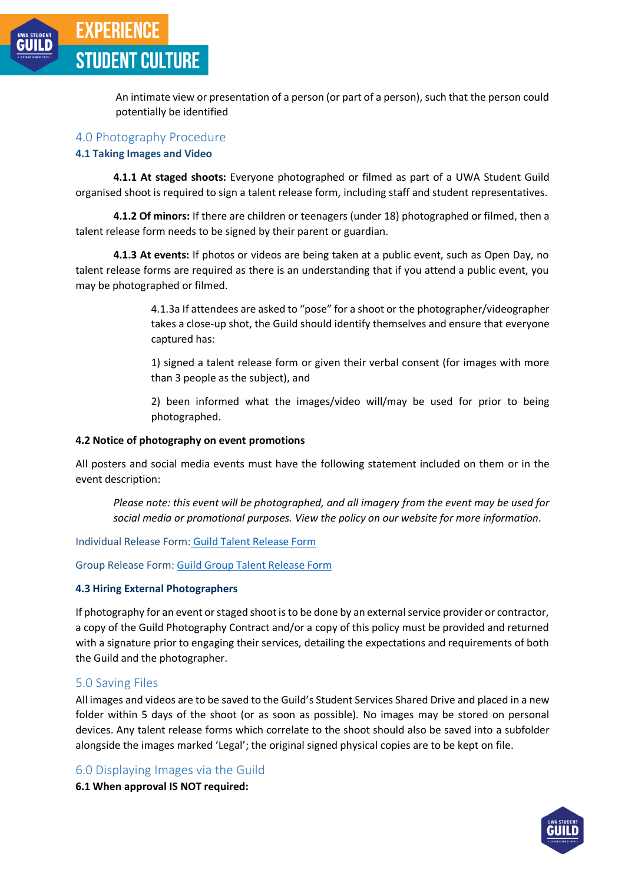

An intimate view or presentation of a person (or part of a person), such that the person could potentially be identified

#### 4.0 Photography Procedure

#### **4.1 Taking Images and Video**

**4.1.1 At staged shoots:** Everyone photographed or filmed as part of a UWA Student Guild organised shoot is required to sign a talent release form, including staff and student representatives.

**4.1.2 Of minors:** If there are children or teenagers (under 18) photographed or filmed, then a talent release form needs to be signed by their parent or guardian.

**4.1.3 At events:** If photos or videos are being taken at a public event, such as Open Day, no talent release forms are required as there is an understanding that if you attend a public event, you may be photographed or filmed.

> 4.1.3a If attendees are asked to "pose" for a shoot or the photographer/videographer takes a close-up shot, the Guild should identify themselves and ensure that everyone captured has:

> 1) signed a talent release form or given their verbal consent (for images with more than 3 people as the subject), and

> 2) been informed what the images/video will/may be used for prior to being photographed.

#### **4.2 Notice of photography on event promotions**

All posters and social media events must have the following statement included on them or in the event description:

*Please note: this event will be photographed, and all imagery from the event may be used for social media or promotional purposes. View the policy on our website for more information.*

Individual Release Form: [Guild Talent Release Form](https://www.uwastudentguild.com/assets/downloads/policies/guild-talent-release-form_v2.docx)

Group Release Form[: Guild Group Talent Release Form](https://www.uwastuentguild.com/assets/downloads/policies/guild-group-talent-release-form_v2.docx)

#### **4.3 Hiring External Photographers**

If photography for an event or staged shoot is to be done by an external service provider or contractor, a copy of the Guild Photography Contract and/or a copy of this policy must be provided and returned with a signature prior to engaging their services, detailing the expectations and requirements of both the Guild and the photographer.

#### 5.0 Saving Files

All images and videos are to be saved to the Guild's Student Services Shared Drive and placed in a new folder within 5 days of the shoot (or as soon as possible). No images may be stored on personal devices. Any talent release forms which correlate to the shoot should also be saved into a subfolder alongside the images marked 'Legal'; the original signed physical copies are to be kept on file.

## 6.0 Displaying Images via the Guild

**6.1 When approval IS NOT required:**

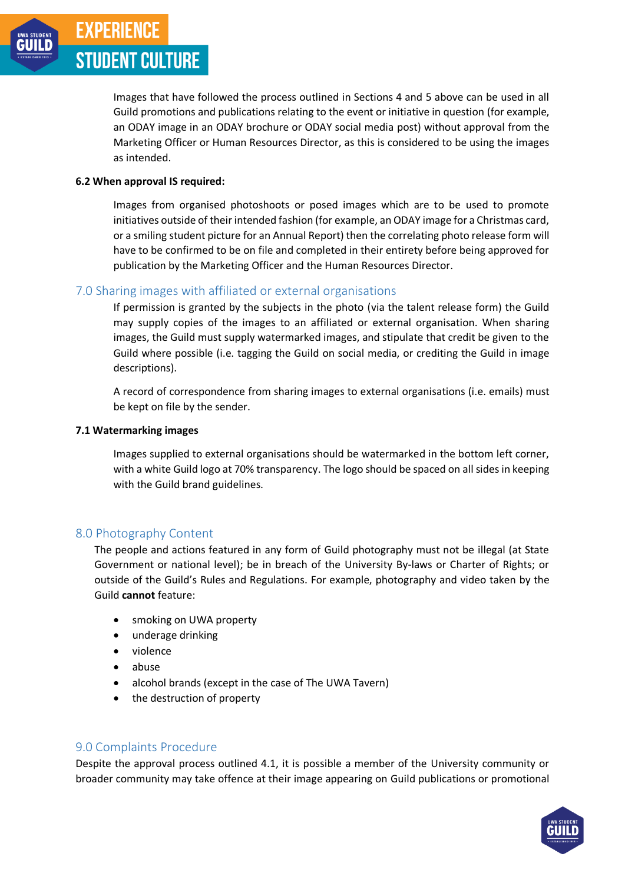Images that have followed the process outlined in Sections 4 and 5 above can be used in all Guild promotions and publications relating to the event or initiative in question (for example, an ODAY image in an ODAY brochure or ODAY social media post) without approval from the Marketing Officer or Human Resources Director, as this is considered to be using the images as intended.

## **6.2 When approval IS required:**

Images from organised photoshoots or posed images which are to be used to promote initiatives outside of their intended fashion (for example, an ODAY image for a Christmas card, or a smiling student picture for an Annual Report) then the correlating photo release form will have to be confirmed to be on file and completed in their entirety before being approved for publication by the Marketing Officer and the Human Resources Director.

# 7.0 Sharing images with affiliated or external organisations

If permission is granted by the subjects in the photo (via the talent release form) the Guild may supply copies of the images to an affiliated or external organisation. When sharing images, the Guild must supply watermarked images, and stipulate that credit be given to the Guild where possible (i.e. tagging the Guild on social media, or crediting the Guild in image descriptions).

A record of correspondence from sharing images to external organisations (i.e. emails) must be kept on file by the sender.

# **7.1 Watermarking images**

Images supplied to external organisations should be watermarked in the bottom left corner, with a white Guild logo at 70% transparency. The logo should be spaced on all sides in keeping with the Guild brand guidelines.

# 8.0 Photography Content

The people and actions featured in any form of Guild photography must not be illegal (at State Government or national level); be in breach of the University By-laws or Charter of Rights; or outside of the Guild's Rules and Regulations. For example, photography and video taken by the Guild **cannot** feature:

- smoking on UWA property
- underage drinking
- violence
- abuse
- alcohol brands (except in the case of The UWA Tavern)
- the destruction of property

# 9.0 Complaints Procedure

Despite the approval process outlined 4.1, it is possible a member of the University community or broader community may take offence at their image appearing on Guild publications or promotional